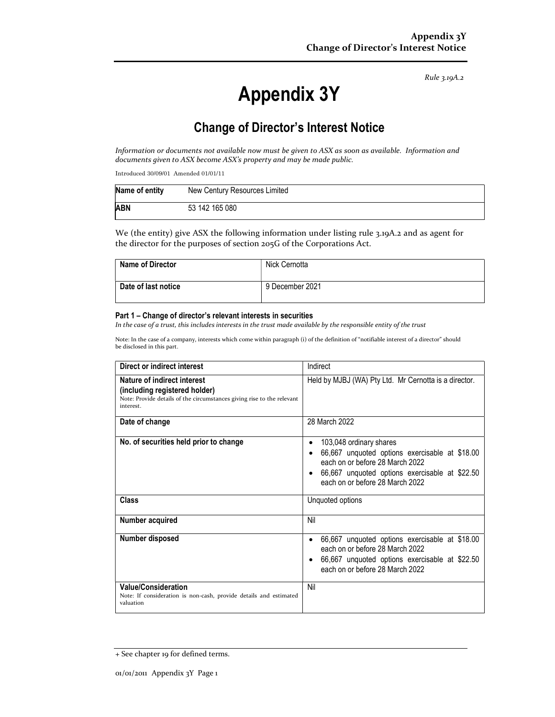Rule 3.19A.2

# Appendix 3Y

# Change of Director's Interest Notice

Information or documents not available now must be given to ASX as soon as available. Information and documents given to ASX become ASX's property and may be made public.

Introduced 30/09/01 Amended 01/01/11

| Name of entity | New Century Resources Limited |
|----------------|-------------------------------|
| ABN            | 53 142 165 080                |

We (the entity) give ASX the following information under listing rule 3.19A.2 and as agent for the director for the purposes of section 205G of the Corporations Act.

| <b>Name of Director</b> | Nick Cernotta   |
|-------------------------|-----------------|
| Date of last notice     | 9 December 2021 |

#### Part 1 – Change of director's relevant interests in securities

In the case of a trust, this includes interests in the trust made available by the responsible entity of the trust

Note: In the case of a company, interests which come within paragraph (i) of the definition of "notifiable interest of a director" should be disclosed in this part.

| Direct or indirect interest                                                                                                                         | Indirect                                                                                                                                                                                                                         |  |
|-----------------------------------------------------------------------------------------------------------------------------------------------------|----------------------------------------------------------------------------------------------------------------------------------------------------------------------------------------------------------------------------------|--|
| Nature of indirect interest<br>(including registered holder)<br>Note: Provide details of the circumstances giving rise to the relevant<br>interest. | Held by MJBJ (WA) Pty Ltd. Mr Cernotta is a director.                                                                                                                                                                            |  |
| Date of change                                                                                                                                      | 28 March 2022                                                                                                                                                                                                                    |  |
| No. of securities held prior to change                                                                                                              | 103,048 ordinary shares<br>٠<br>66,667 unquoted options exercisable at \$18.00<br>$\bullet$<br>each on or before 28 March 2022<br>66,667 unquoted options exercisable at \$22.50<br>$\bullet$<br>each on or before 28 March 2022 |  |
| Class                                                                                                                                               | Unquoted options                                                                                                                                                                                                                 |  |
| Number acquired                                                                                                                                     | Nil                                                                                                                                                                                                                              |  |
| Number disposed                                                                                                                                     | 66,667 unquoted options exercisable at \$18.00<br>$\bullet$<br>each on or before 28 March 2022<br>66,667 unquoted options exercisable at \$22.50<br>$\bullet$<br>each on or before 28 March 2022                                 |  |
| <b>Value/Consideration</b><br>Note: If consideration is non-cash, provide details and estimated<br>valuation                                        | Nil                                                                                                                                                                                                                              |  |

<sup>+</sup> See chapter 19 for defined terms.